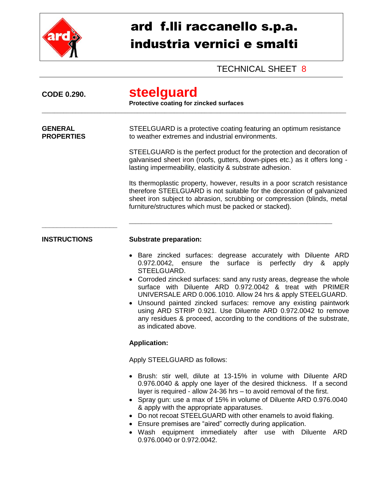

## ard f.lli raccanello s.p.a. industria vernici e smalti

## TECHNICAL SHEET 8

| <b>CODE 0.290.</b>                  | steelguard<br>Protective coating for zincked surfaces                                                                                                                                                                                                                                                                                                                                                                                                                                                                                                                              |
|-------------------------------------|------------------------------------------------------------------------------------------------------------------------------------------------------------------------------------------------------------------------------------------------------------------------------------------------------------------------------------------------------------------------------------------------------------------------------------------------------------------------------------------------------------------------------------------------------------------------------------|
| <b>GENERAL</b><br><b>PROPERTIES</b> | STEELGUARD is a protective coating featuring an optimum resistance<br>to weather extremes and industrial environments.                                                                                                                                                                                                                                                                                                                                                                                                                                                             |
|                                     | STEELGUARD is the perfect product for the protection and decoration of<br>galvanised sheet iron (roofs, gutters, down-pipes etc.) as it offers long -<br>lasting impermeability, elasticity & substrate adhesion.                                                                                                                                                                                                                                                                                                                                                                  |
|                                     | Its thermoplastic property, however, results in a poor scratch resistance<br>therefore STEELGUARD is not suitable for the decoration of galvanized<br>sheet iron subject to abrasion, scrubbing or compression (blinds, metal<br>furniture/structures which must be packed or stacked).                                                                                                                                                                                                                                                                                            |
| <b>INSTRUCTIONS</b>                 | <b>Substrate preparation:</b>                                                                                                                                                                                                                                                                                                                                                                                                                                                                                                                                                      |
|                                     | • Bare zincked surfaces: degrease accurately with Diluente ARD<br>0.972.0042, ensure the surface is perfectly dry &<br>apply<br>STEELGUARD.<br>Corroded zincked surfaces: sand any rusty areas, degrease the whole<br>surface with Diluente ARD 0.972.0042 & treat with PRIMER<br>UNIVERSALE ARD 0.006.1010. Allow 24 hrs & apply STEELGUARD.<br>• Unsound painted zincked surfaces: remove any existing paintwork<br>using ARD STRIP 0.921. Use Diluente ARD 0.972.0042 to remove<br>any residues & proceed, according to the conditions of the substrate,<br>as indicated above. |
|                                     | <b>Application:</b>                                                                                                                                                                                                                                                                                                                                                                                                                                                                                                                                                                |
|                                     | Apply STEELGUARD as follows:                                                                                                                                                                                                                                                                                                                                                                                                                                                                                                                                                       |
|                                     | • Brush: stir well, dilute at 13-15% in volume with Diluente ARD<br>0.976.0040 & apply one layer of the desired thickness. If a second<br>layer is required - allow 24-36 hrs - to avoid removal of the first.<br>• Spray gun: use a max of 15% in volume of Diluente ARD 0.976.0040<br>& apply with the appropriate apparatuses.<br>• Do not recoat STEELGUARD with other enamels to avoid flaking.<br>• Ensure premises are "aired" correctly during application.<br>• Wash equipment immediately after use with Diluente ARD<br>0.976.0040 or 0.972.0042.                       |